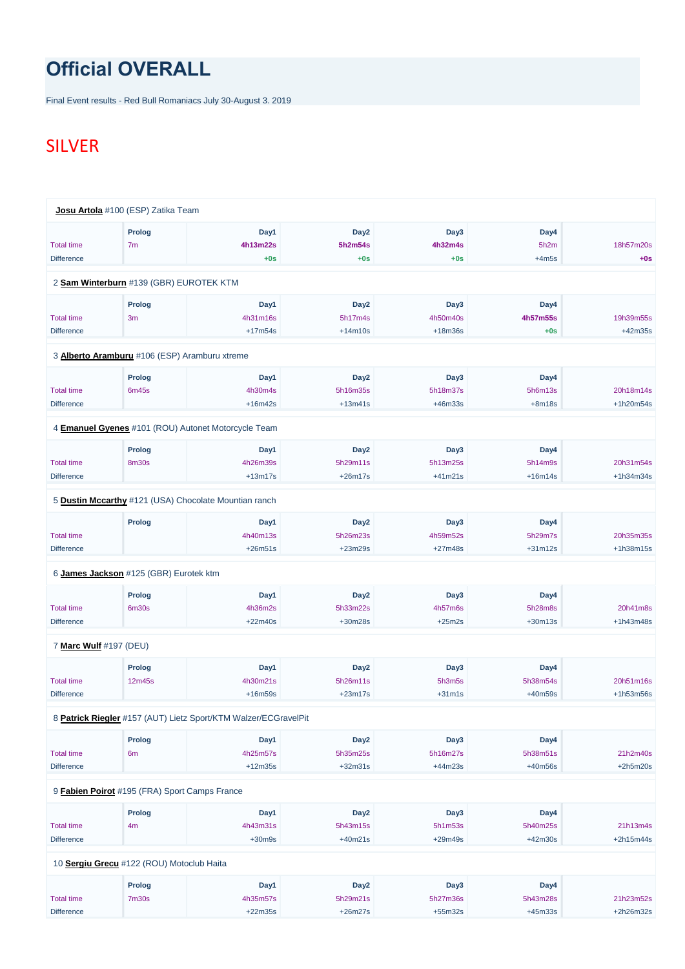## **Official OVERALL**

Final Event results - Red Bull Romaniacs July 30-August 3. 2019

## SILVER

|                        | Josu Artola #100 (ESP) Zatika Team                    |           |                  |           |           |             |
|------------------------|-------------------------------------------------------|-----------|------------------|-----------|-----------|-------------|
|                        | <b>Prolog</b>                                         | Day1      | Day <sub>2</sub> | Day3      | Day4      |             |
| <b>Total time</b>      | 7 <sub>m</sub>                                        | 4h13m22s  | 5h2m54s          | 4h32m4s   | 5h2m      | 18h57m20s   |
| <b>Difference</b>      |                                                       | $+0s$     | $+0s$            | $+0s$     | $+4m5s$   | $+0s$       |
|                        | 2 Sam Winterburn #139 (GBR) EUROTEK KTM               |           |                  |           |           |             |
|                        | <b>Prolog</b>                                         | Day1      | Day <sub>2</sub> | Day3      | Day4      |             |
| <b>Total time</b>      | 3m                                                    | 4h31m16s  | 5h17m4s          | 4h50m40s  | 4h57m55s  | 19h39m55s   |
| <b>Difference</b>      |                                                       | $+17m54s$ | $+14m10s$        | $+18m36s$ | $+0s$     | +42m35s     |
|                        | 3 Alberto Aramburu #106 (ESP) Aramburu xtreme         |           |                  |           |           |             |
|                        | <b>Prolog</b>                                         | Day1      | Day <sub>2</sub> | Day3      | Day4      |             |
| <b>Total time</b>      | 6m45s                                                 | 4h30m4s   | 5h16m35s         | 5h18m37s  | 5h6m13s   | 20h18m14s   |
| <b>Difference</b>      |                                                       | $+16m42s$ | $+13m41s$        | $+46m33s$ | $+8m18s$  | +1h20m54s   |
|                        | 4 Emanuel Gyenes #101 (ROU) Autonet Motorcycle Team   |           |                  |           |           |             |
|                        | <b>Prolog</b>                                         | Day1      | Day <sub>2</sub> | Day3      | Day4      |             |
| <b>Total time</b>      | <b>8m30s</b>                                          | 4h26m39s  | 5h29m11s         | 5h13m25s  | 5h14m9s   | 20h31m54s   |
| <b>Difference</b>      |                                                       | $+13m17s$ | $+26m17s$        | $+41m21s$ | $+16m14s$ | $+1h34m34s$ |
|                        | 5 Dustin Mccarthy #121 (USA) Chocolate Mountian ranch |           |                  |           |           |             |
|                        | <b>Prolog</b>                                         | Day1      | Day <sub>2</sub> | Day3      | Day4      |             |
| <b>Total time</b>      |                                                       | 4h40m13s  | 5h26m23s         | 4h59m52s  | 5h29m7s   | 20h35m35s   |
| <b>Difference</b>      |                                                       | $+26m51s$ | $+23m29s$        | $+27m48s$ | $+31m12s$ | +1h38m15s   |
|                        | 6 James Jackson #125 (GBR) Eurotek ktm                |           |                  |           |           |             |
|                        | <b>Prolog</b>                                         | Day1      | Day <sub>2</sub> | Day3      | Day4      |             |
| <b>Total time</b>      | 6m30s                                                 | 4h36m2s   | 5h33m22s         | 4h57m6s   | 5h28m8s   | 20h41m8s    |
| <b>Difference</b>      |                                                       | $+22m40s$ | +30m28s          | $+25m2s$  | $+30m13s$ | +1h43m48s   |
| 7 Marc Wulf #197 (DEU) |                                                       |           |                  |           |           |             |
|                        | <b>Prolog</b>                                         | Day1      | Day <sub>2</sub> | Day3      | Day4      |             |
| <b>Total time</b>      | 12m45s                                                | 4h30m21s  | 5h26m11s         | 5h3m5s    | 5h38m54s  | 20h51m16s   |
| <b>Difference</b>      |                                                       | $+16m59s$ | $+23m17s$        | $+31m1s$  | $+40m59s$ | +1h53m56s   |

8 **[Patrick Riegler](https://www.redbullromaniacs.com/for-competitors/profile/?e=rbr2019&b=157)** #157 (AUT) Lietz Sport/KTM Walzer/ECGravelPit

|                                               | <b>Prolog</b>     | Day1      | Day <sub>2</sub> | Day3      | Day4      |             |
|-----------------------------------------------|-------------------|-----------|------------------|-----------|-----------|-------------|
| <b>Total time</b>                             | 6 <sub>m</sub>    | 4h25m57s  | 5h35m25s         | 5h16m27s  | 5h38m51s  | 21h2m40s    |
| <b>Difference</b>                             |                   | $+12m35s$ | $+32m31s$        | $+44m23s$ | $+40m56s$ | $+2h5m20s$  |
|                                               |                   |           |                  |           |           |             |
| 9 Fabien Poirot #195 (FRA) Sport Camps France |                   |           |                  |           |           |             |
|                                               | Prolog            | Day1      | Day <sub>2</sub> | Day3      | Day4      |             |
| <b>Total time</b>                             | 4m                | 4h43m31s  | 5h43m15s         | 5h1m53s   | 5h40m25s  | 21h13m4s    |
| <b>Difference</b>                             |                   | $+30m9s$  | $+40m21s$        | $+29m49s$ | $+42m30s$ | $+2h15m44s$ |
|                                               |                   |           |                  |           |           |             |
| 10 Sergiu Grecu #122 (ROU) Motoclub Haita     |                   |           |                  |           |           |             |
|                                               | Prolog            | Day1      | Day <sub>2</sub> | Day3      | Day4      |             |
| <b>Total time</b>                             | 7 <sub>m30s</sub> | 4h35m57s  | 5h29m21s         | 5h27m36s  | 5h43m28s  | 21h23m52s   |
| <b>Difference</b>                             |                   | $+22m35s$ | $+26m27s$        | $+55m32s$ | $+45m33s$ | $+2h26m32s$ |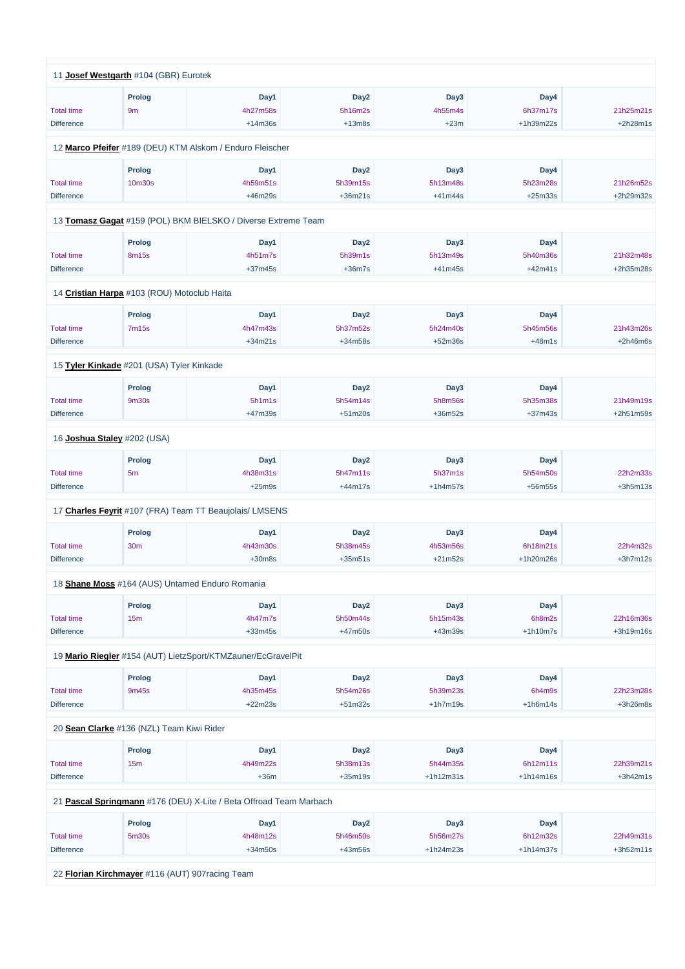|                             | 11 Josef Westgarth #104 (GBR) Eurotek       |                                                               |                  |                  |             |             |
|-----------------------------|---------------------------------------------|---------------------------------------------------------------|------------------|------------------|-------------|-------------|
|                             | <b>Prolog</b>                               | Day1                                                          | Day <sub>2</sub> | Day3             | Day4        |             |
| <b>Total time</b>           | 9m                                          | 4h27m58s                                                      | 5h16m2s          | 4h55m4s          | 6h37m17s    | 21h25m21s   |
|                             |                                             |                                                               |                  |                  |             |             |
| <b>Difference</b>           |                                             | $+14m36s$                                                     | $+13m8s$         | $+23m$           | $+1h39m22s$ | $+2h28m1s$  |
|                             |                                             | 12 Marco Pfeifer #189 (DEU) KTM Alskom / Enduro Fleischer     |                  |                  |             |             |
|                             | Prolog                                      | Day1                                                          | Day <sub>2</sub> | Day3             | Day4        |             |
| <b>Total time</b>           | 10m30s                                      | 4h59m51s                                                      | 5h39m15s         | 5h13m48s         | 5h23m28s    | 21h26m52s   |
| <b>Difference</b>           |                                             | +46m29s                                                       | $+36m21s$        | $+41m44s$        | $+25m33s$   | +2h29m32s   |
|                             |                                             | 13 Tomasz Gagat #159 (POL) BKM BIELSKO / Diverse Extreme Team |                  |                  |             |             |
|                             |                                             |                                                               |                  |                  |             |             |
|                             | Prolog                                      | Day1                                                          | Day <sub>2</sub> | Day3             | Day4        |             |
| <b>Total time</b>           | 8m15s                                       | 4h51m7s                                                       | 5h39m1s          | 5h13m49s         | 5h40m36s    | 21h32m48s   |
| <b>Difference</b>           |                                             | $+37m45s$                                                     | $+36m7s$         | $+41m45s$        | $+42m41s$   | +2h35m28s   |
|                             | 14 Cristian Harpa #103 (ROU) Motoclub Haita |                                                               |                  |                  |             |             |
|                             | Prolog                                      | Day1                                                          | Day <sub>2</sub> | Day3             | Day4        |             |
| <b>Total time</b>           | <b>7m15s</b>                                | 4h47m43s                                                      | 5h37m52s         | 5h24m40s         | 5h45m56s    | 21h43m26s   |
| <b>Difference</b>           |                                             | $+34m21s$                                                     | +34m58s          | $+52m36s$        | $+48m1s$    | $+2h46m6s$  |
|                             |                                             |                                                               |                  |                  |             |             |
|                             | 15 Tyler Kinkade #201 (USA) Tyler Kinkade   |                                                               |                  |                  |             |             |
|                             | Prolog                                      | Day1                                                          | Day <sub>2</sub> | Day3             | Day4        |             |
| <b>Total time</b>           | <b>9m30s</b>                                | 5h1m1s                                                        | 5h54m14s         | 5h8m56s          | 5h35m38s    | 21h49m19s   |
| <b>Difference</b>           |                                             | +47m39s                                                       | $+51m20s$        | $+36m52s$        | $+37m43s$   | +2h51m59s   |
| 16 Joshua Staley #202 (USA) |                                             |                                                               |                  |                  |             |             |
|                             |                                             |                                                               |                  |                  |             |             |
|                             | <b>Prolog</b>                               | Day1                                                          | Day <sub>2</sub> | Day <sub>3</sub> | Day4        |             |
| <b>Total time</b>           | 5 <sub>m</sub>                              | 4h38m31s                                                      | 5h47m11s         | 5h37m1s          | 5h54m50s    | 22h2m33s    |
| <b>Difference</b>           |                                             | $+25m9s$                                                      | $+44m17s$        | $+1h4m57s$       | $+56m55s$   | $+3h5m13s$  |
|                             |                                             | 17 Charles Feyrit #107 (FRA) Team TT Beaujolais/ LMSENS       |                  |                  |             |             |
|                             | <b>Prolog</b>                               | Day1                                                          | Day <sub>2</sub> | Day3             | Day4        |             |
| <b>Total time</b>           | 30m                                         | 4h43m30s                                                      | 5h38m45s         | 4h53m56s         | 6h18m21s    | 22h4m32s    |
| <b>Difference</b>           |                                             | $+30m8s$                                                      | $+35m51s$        | $+21m52s$        | +1h20m26s   | $+3h7m12s$  |
|                             |                                             | 18 Shane Moss #164 (AUS) Untamed Enduro Romania               |                  |                  |             |             |
|                             |                                             |                                                               |                  |                  |             |             |
|                             | Prolog                                      | Day1                                                          | Day <sub>2</sub> | Day3             | Day4        |             |
| <b>Total time</b>           | 15m                                         | 4h47m7s                                                       | 5h50m44s         | 5h15m43s         | 6h8m2s      | 22h16m36s   |
| <b>Difference</b>           |                                             | $+33m45s$                                                     | $+47m50s$        | +43m39s          | $+1h10m7s$  | $+3h19m16s$ |
|                             |                                             | 19 Mario Riegler #154 (AUT) LietzSport/KTMZauner/EcGravelPit  |                  |                  |             |             |
|                             | Prolog                                      | Day1                                                          | Day <sub>2</sub> | Day <sub>3</sub> | Day4        |             |
| <b>Total time</b>           | 9m45s                                       | 4h35m45s                                                      | 5h54m26s         | 5h39m23s         | 6h4m9s      | 22h23m28s   |
| <b>Difference</b>           |                                             | $+22m23s$                                                     | $+51m32s$        | $+1h7m19s$       | $+1h6m14s$  | +3h26m8s    |
|                             |                                             |                                                               |                  |                  |             |             |

20 **[Sean Clarke](https://www.redbullromaniacs.com/for-competitors/profile/?e=rbr2019&b=136)** #136 (NZL) Team Kiwi Rider

| <b>Total time</b><br>15 <sub>m</sub><br><b>Difference</b> | 4h49m22s<br>$+36m$ | 5h38m13s<br>$+35m19s$ | 5h44m35s<br>$+1h12m31s$ | 6h12m11s    | 22h39m21s   |
|-----------------------------------------------------------|--------------------|-----------------------|-------------------------|-------------|-------------|
|                                                           |                    |                       |                         |             |             |
|                                                           |                    |                       |                         | $+1h14m16s$ | $+3h42m1s$  |
| <b>Prolog</b>                                             | Day1               | Day <sub>2</sub>      | Day3                    | Day4        |             |
|                                                           |                    |                       |                         |             |             |
| <b>Total time</b><br>5 <sub>m30s</sub>                    | 4h48m12s           | 5h46m50s              | 5h56m27s                | 6h12m32s    | 22h49m31s   |
| <b>Difference</b>                                         | $+34m50s$          | +43m56s               | $+1h24m23s$             | $+1h14m37s$ | $+3h52m11s$ |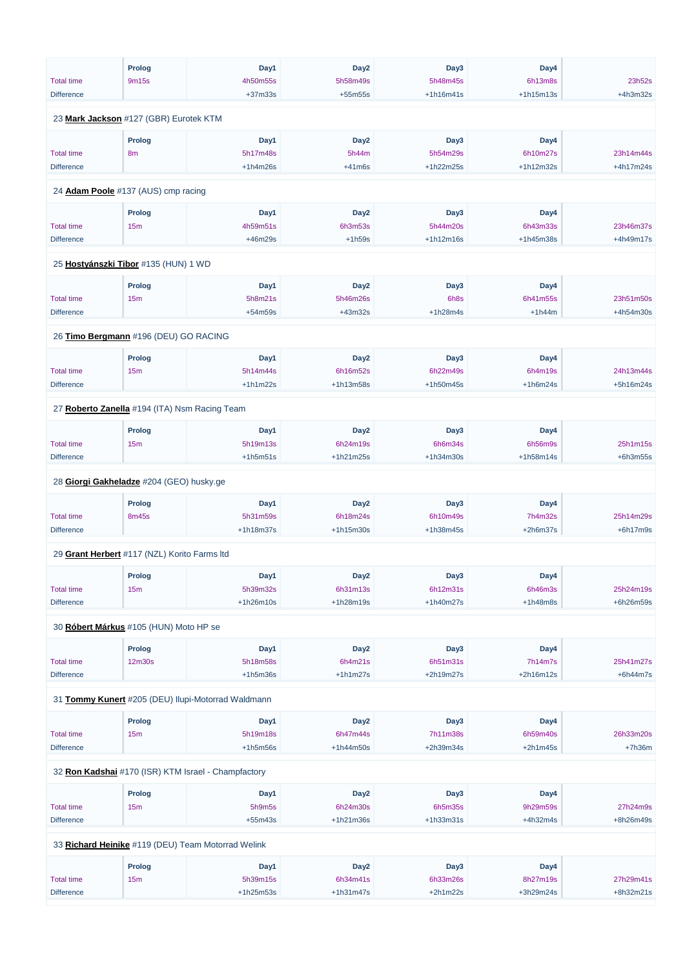|                                               | <b>Prolog</b> | Day1                                               | Day <sub>2</sub> | Day3        | Day4        |            |
|-----------------------------------------------|---------------|----------------------------------------------------|------------------|-------------|-------------|------------|
| <b>Total time</b>                             | 9m15s         | 4h50m55s                                           | 5h58m49s         | 5h48m45s    | 6h13m8s     | 23h52s     |
| <b>Difference</b>                             |               | $+37m33s$                                          | $+55m55s$        | $+1h16m41s$ | $+1h15m13s$ | $+4h3m32s$ |
| 23 Mark Jackson #127 (GBR) Eurotek KTM        |               |                                                    |                  |             |             |            |
|                                               | <b>Prolog</b> | Day1                                               | Day <sub>2</sub> | Day3        | Day4        |            |
| <b>Total time</b>                             | 8m            | 5h17m48s                                           | 5h44m            | 5h54m29s    | 6h10m27s    | 23h14m44s  |
| <b>Difference</b>                             |               | $+1h4m26s$                                         | $+41m6s$         | +1h22m25s   | +1h12m32s   | +4h17m24s  |
|                                               |               |                                                    |                  |             |             |            |
| 24 Adam Poole #137 (AUS) cmp racing           |               |                                                    |                  |             |             |            |
|                                               | Prolog        | Day1                                               | Day <sub>2</sub> | Day3        | Day4        |            |
| <b>Total time</b>                             | 15m           | 4h59m51s                                           | 6h3m53s          | 5h44m20s    | 6h43m33s    | 23h46m37s  |
| <b>Difference</b>                             |               | +46m29s                                            | $+1h59s$         | $+1h12m16s$ | +1h45m38s   | +4h49m17s  |
| 25 Hostyánszki Tibor #135 (HUN) 1 WD          |               |                                                    |                  |             |             |            |
|                                               | Prolog        | Day1                                               | Day <sub>2</sub> | Day3        | Day4        |            |
| <b>Total time</b>                             | 15m           | 5h8m21s                                            | 5h46m26s         | 6h8s        | 6h41m55s    | 23h51m50s  |
| <b>Difference</b>                             |               | $+54m59s$                                          | $+43m32s$        | $+1h28m4s$  | $+1h44m$    | +4h54m30s  |
|                                               |               |                                                    |                  |             |             |            |
| 26 Timo Bergmann #196 (DEU) GO RACING         |               |                                                    |                  |             |             |            |
|                                               | Prolog        | Day1                                               | Day <sub>2</sub> | Day3        | Day4        |            |
| <b>Total time</b>                             | 15m           | 5h14m44s                                           | 6h16m52s         | 6h22m49s    | 6h4m19s     | 24h13m44s  |
| <b>Difference</b>                             |               | $+1h1m22s$                                         | $+1h13m58s$      | $+1h50m45s$ | $+1h6m24s$  | +5h16m24s  |
| 27 Roberto Zanella #194 (ITA) Nsm Racing Team |               |                                                    |                  |             |             |            |
|                                               | Prolog        | Day1                                               | Day <sub>2</sub> | Day3        | Day4        |            |
| <b>Total time</b>                             | 15m           | 5h19m13s                                           | 6h24m19s         | 6h6m34s     | 6h56m9s     | 25h1m15s   |
| <b>Difference</b>                             |               | $+1h5m51s$                                         | $+1h21m25s$      | +1h34m30s   | $+1h58m14s$ | $+6h3m55s$ |
| 28 Giorgi Gakheladze #204 (GEO) husky.ge      |               |                                                    |                  |             |             |            |
|                                               |               |                                                    |                  |             |             |            |
|                                               | <b>Prolog</b> | Day1                                               | Day <sub>2</sub> | Day3        | Day4        |            |
| <b>Total time</b>                             | 8m45s         | 5h31m59s                                           | 6h18m24s         | 6h10m49s    | 7h4m32s     | 25h14m29s  |
| <b>Difference</b>                             |               | +1h18m37s                                          | $+1h15m30s$      | +1h38m45s   | $+2h6m37s$  | $+6h17m9s$ |
| 29 Grant Herbert #117 (NZL) Korito Farms Itd  |               |                                                    |                  |             |             |            |
|                                               | Prolog        | Day1                                               | Day <sub>2</sub> | Day3        | Day4        |            |
| <b>Total time</b>                             | 15m           | 5h39m32s                                           | 6h31m13s         | 6h12m31s    | 6h46m3s     | 25h24m19s  |
| <b>Difference</b>                             |               | $+1h26m10s$                                        | +1h28m19s        | +1h40m27s   | $+1h48m8s$  | +6h26m59s  |
|                                               |               |                                                    |                  |             |             |            |
| 30 Róbert Márkus #105 (HUN) Moto HP se        |               |                                                    |                  |             |             |            |
|                                               | <b>Prolog</b> | Day1                                               | Day <sub>2</sub> | Day3        | Day4        |            |
| <b>Total time</b>                             | 12m30s        | 5h18m58s                                           | 6h4m21s          | 6h51m31s    | 7h14m7s     | 25h41m27s  |
| <b>Difference</b>                             |               | $+1h5m36s$                                         | $+1h1m27s$       | +2h19m27s   | +2h16m12s   | $+6h44m7s$ |
|                                               |               | 31 Tommy Kunert #205 (DEU) Ilupi-Motorrad Waldmann |                  |             |             |            |
|                                               |               |                                                    |                  |             |             |            |

| <b>Prolog</b> | Dav <sup>1</sup> | Day <sub>2</sub> | Dav <sub>3</sub> | Dav4 |  |
|---------------|------------------|------------------|------------------|------|--|
|               |                  |                  |                  |      |  |

| <b>Total time</b> | 15m           | 5h19m18s                                            | 6h47m44s         | 7h11m38s    | 6h59m40s   | 26h33m20s |
|-------------------|---------------|-----------------------------------------------------|------------------|-------------|------------|-----------|
| <b>Difference</b> |               | $+1h5m56s$                                          | $+1h44m50s$      | $+2h39m34s$ | $+2h1m45s$ | $+7h36m$  |
|                   |               |                                                     |                  |             |            |           |
|                   |               | 32 Ron Kadshai #170 (ISR) KTM Israel - Champfactory |                  |             |            |           |
|                   | <b>Prolog</b> | Day1                                                | Day <sub>2</sub> | Day3        | Day4       |           |
| <b>Total time</b> | 15m           | 5h9m5s                                              | 6h24m30s         | 6h5m35s     | 9h29m59s   | 27h24m9s  |
| <b>Difference</b> |               | $+55m43s$                                           | $+1h21m36s$      | $+1h33m31s$ | $+4h32m4s$ | +8h26m49s |
|                   |               |                                                     |                  |             |            |           |
|                   |               | 33 Richard Heinike #119 (DEU) Team Motorrad Welink  |                  |             |            |           |
|                   | <b>Prolog</b> | Day1                                                | Day <sub>2</sub> | Day3        | Day4       |           |
| <b>Total time</b> | 15m           | 5h39m15s                                            | 6h34m41s         | 6h33m26s    | 8h27m19s   | 27h29m41s |
| <b>Difference</b> |               | $+1h25m53s$                                         | $+1h31m47s$      | $+2h1m22s$  | +3h29m24s  | +8h32m21s |
|                   |               |                                                     |                  |             |            |           |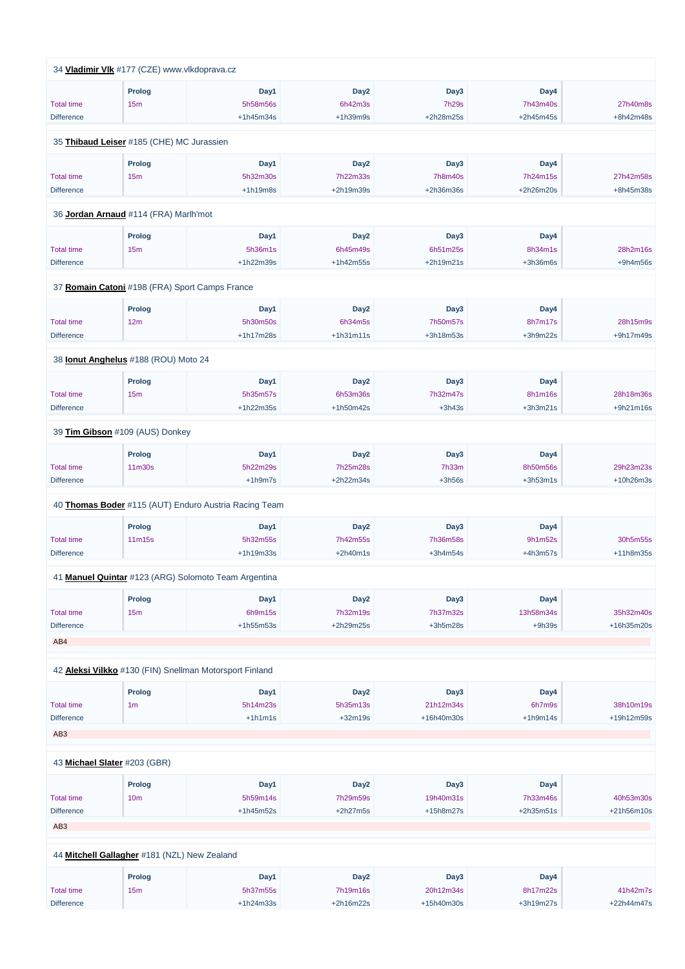|                   | 34 Vladimir VIk #177 (CZE) www.vlkdoprava.cz            |             |                  |              |             |            |
|-------------------|---------------------------------------------------------|-------------|------------------|--------------|-------------|------------|
|                   | <b>Prolog</b>                                           | Day1        | Day <sub>2</sub> | Day3         | Day4        |            |
| <b>Total time</b> | 15m                                                     | 5h58m56s    | 6h42m3s          | <b>7h29s</b> | 7h43m40s    | 27h40m8s   |
| <b>Difference</b> |                                                         | $+1h45m34s$ | $+1h39m9s$       | +2h28m25s    | $+2h45m45s$ | +8h42m48s  |
|                   | 35 Thibaud Leiser #185 (CHE) MC Jurassien               |             |                  |              |             |            |
|                   |                                                         |             |                  |              |             |            |
|                   | Prolog                                                  | Day1        | Day <sub>2</sub> | Day3         | Day4        |            |
| <b>Total time</b> | 15m                                                     | 5h32m30s    | 7h22m33s         | 7h8m40s      | 7h24m15s    | 27h42m58s  |
| <b>Difference</b> |                                                         | $+1h19m8s$  | +2h19m39s        | +2h36m36s    | +2h26m20s   | +8h45m38s  |
|                   | 36 Jordan Arnaud #114 (FRA) Marlh'mot                   |             |                  |              |             |            |
|                   | Prolog                                                  | Day1        | Day <sub>2</sub> | Day3         | Day4        |            |
| <b>Total time</b> | 15m                                                     | 5h36m1s     | 6h45m49s         | 6h51m25s     | 8h34m1s     | 28h2m16s   |
| <b>Difference</b> |                                                         | $+1h22m39s$ | $+1h42m55s$      | $+2h19m21s$  | $+3h36m6s$  | $+9h4m56s$ |
|                   | 37 Romain Catoni #198 (FRA) Sport Camps France          |             |                  |              |             |            |
|                   |                                                         |             |                  |              |             |            |
|                   | Prolog                                                  | Day1        | Day <sub>2</sub> | Day3         | Day4        |            |
| <b>Total time</b> | 12m                                                     | 5h30m50s    | 6h34m5s          | 7h50m57s     | 8h7m17s     | 28h15m9s   |
| <b>Difference</b> |                                                         | +1h17m28s   | $+1h31m11s$      | +3h18m53s    | $+3h9m22s$  | +9h17m49s  |
|                   | 38 <b>Ionut Anghelus</b> #188 (ROU) Moto 24             |             |                  |              |             |            |
|                   | <b>Prolog</b>                                           | Day1        | Day <sub>2</sub> | Day3         | Day4        |            |
| <b>Total time</b> | 15m                                                     | 5h35m57s    | 6h53m36s         | 7h32m47s     | 8h1m16s     | 28h18m36s  |
| <b>Difference</b> |                                                         | $+1h22m35s$ | +1h50m42s        | $+3h43s$     | $+3h3m21s$  | +9h21m16s  |
|                   | 39 Tim Gibson #109 (AUS) Donkey                         |             |                  |              |             |            |
|                   |                                                         |             |                  |              |             |            |
|                   | <b>Prolog</b>                                           | Day1        | Day <sub>2</sub> | Day3         | Day4        |            |
| <b>Total time</b> | 11m30s                                                  | 5h22m29s    | 7h25m28s         | 7h33m        | 8h50m56s    | 29h23m23s  |
| <b>Difference</b> |                                                         | $+1h9m7s$   | +2h22m34s        | $+3h56s$     | $+3h53m1s$  | +10h26m3s  |
|                   | 40 Thomas Boder #115 (AUT) Enduro Austria Racing Team   |             |                  |              |             |            |
|                   | Prolog                                                  | Day1        | Day <sub>2</sub> | Day3         | Day4        |            |
| <b>Total time</b> | 11m15s                                                  | 5h32m55s    | 7h42m55s         | 7h36m58s     | 9h1m52s     | 30h5m55s   |
| <b>Difference</b> |                                                         | +1h19m33s   | $+2h40m1s$       | $+3h4m54s$   | $+4h3m57s$  | +11h8m35s  |
|                   | 41 Manuel Quintar #123 (ARG) Solomoto Team Argentina    |             |                  |              |             |            |
|                   |                                                         |             |                  |              |             |            |
|                   | <b>Prolog</b>                                           | Day1        | Day <sub>2</sub> | Day3         | Day4        |            |
| <b>Total time</b> | 15m                                                     | 6h9m15s     | 7h32m19s         | 7h37m32s     | 13h58m34s   | 35h32m40s  |
| <b>Difference</b> |                                                         | +1h55m53s   | +2h29m25s        | $+3h5m28s$   | $+9h39s$    | +16h35m20s |
| AB4               |                                                         |             |                  |              |             |            |
|                   | 42 Aleksi Vilkko #130 (FIN) Snellman Motorsport Finland |             |                  |              |             |            |
|                   | <b>Prolog</b>                                           | Day1        | Day <sub>2</sub> | Day3         | Day4        |            |
| <b>Total time</b> | 1 <sub>m</sub>                                          | 5h14m23s    | 5h35m13s         | 21h12m34s    | 6h7m9s      | 38h10m19s  |
| <b>Difference</b> |                                                         | $+1h1m1s$   | $+32m19s$        | +16h40m30s   | $+1h9m14s$  | +19h12m59s |
|                   |                                                         |             |                  |              |             |            |

| AB <sub>3</sub>   |                                              |             |                  |             |             |              |
|-------------------|----------------------------------------------|-------------|------------------|-------------|-------------|--------------|
|                   | 43 Michael Slater #203 (GBR)                 |             |                  |             |             |              |
|                   | <b>Prolog</b>                                | Day1        | Day <sub>2</sub> | Day3        | Day4        |              |
| <b>Total time</b> | 10 <sub>m</sub>                              | 5h59m14s    | 7h29m59s         | 19h40m31s   | 7h33m46s    | 40h53m30s    |
| <b>Difference</b> |                                              | $+1h45m52s$ | $+2h27m5s$       | $+15h8m27s$ | $+2h35m51s$ | $+21h56m10s$ |
| AB <sub>3</sub>   |                                              |             |                  |             |             |              |
|                   |                                              |             |                  |             |             |              |
|                   | 44 Mitchell Gallagher #181 (NZL) New Zealand |             |                  |             |             |              |
|                   | <b>Prolog</b>                                | Day1        | Day <sub>2</sub> | Day3        | Day4        |              |
| <b>Total time</b> | 15m                                          | 5h37m55s    | 7h19m16s         | 20h12m34s   | 8h17m22s    | 41h42m7s     |
| <b>Difference</b> |                                              | $+1h24m33s$ | $+2h16m22s$      | +15h40m30s  | $+3h19m27s$ | $+22h44m47s$ |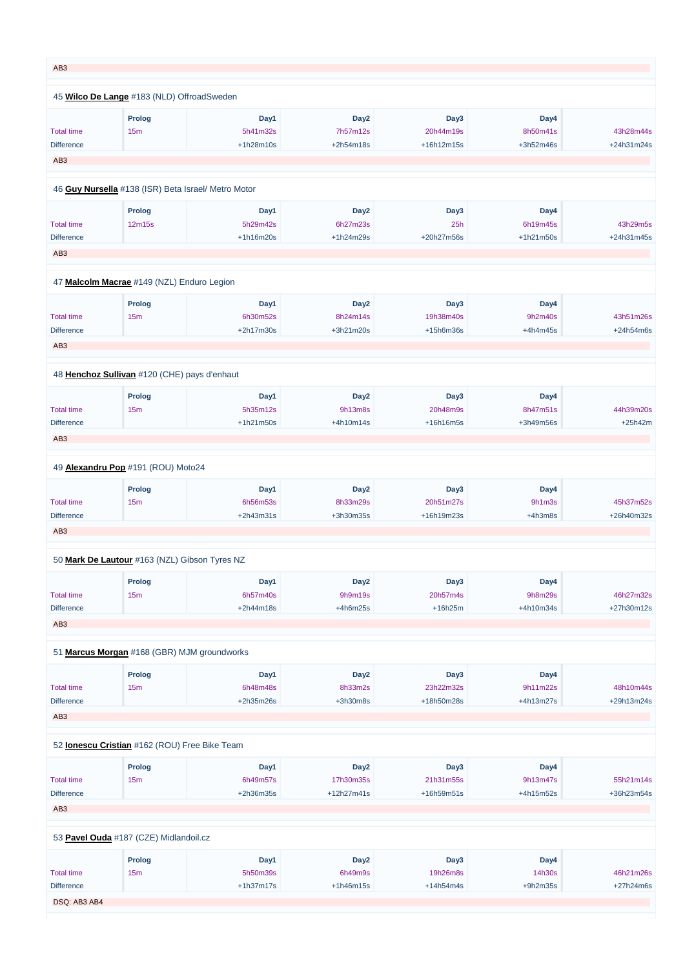| AB <sub>3</sub>                 |                                                     |                       |                       |                         |                       |                         |
|---------------------------------|-----------------------------------------------------|-----------------------|-----------------------|-------------------------|-----------------------|-------------------------|
|                                 | 45 Wilco De Lange #183 (NLD) OffroadSweden          |                       |                       |                         |                       |                         |
|                                 | <b>Prolog</b>                                       | Day1                  | Day <sub>2</sub>      | Day3                    | Day4                  |                         |
| <b>Total time</b>               | 15m                                                 | 5h41m32s              | 7h57m12s              | 20h44m19s               | 8h50m41s              | 43h28m44s               |
| <b>Difference</b>               |                                                     | +1h28m10s             | +2h54m18s             | +16h12m15s              | +3h52m46s             | +24h31m24s              |
| AB <sub>3</sub>                 |                                                     |                       |                       |                         |                       |                         |
|                                 | 46 Guy Nursella #138 (ISR) Beta Israel/ Metro Motor |                       |                       |                         |                       |                         |
|                                 | Prolog                                              | Day1                  | Day <sub>2</sub>      | Day3                    | Day4                  |                         |
| <b>Total time</b>               | 12m15s                                              | 5h29m42s              | 6h27m23s              | 25h                     | 6h19m45s              | 43h29m5s                |
| <b>Difference</b>               |                                                     | +1h16m20s             | +1h24m29s             | +20h27m56s              | $+1h21m50s$           | +24h31m45s              |
| AB <sub>3</sub>                 |                                                     |                       |                       |                         |                       |                         |
|                                 | 47 Malcolm Macrae #149 (NZL) Enduro Legion          |                       |                       |                         |                       |                         |
|                                 | <b>Prolog</b>                                       | Day1                  | Day <sub>2</sub>      | Day3                    | Day4                  |                         |
| <b>Total time</b>               | 15m                                                 | 6h30m52s              | 8h24m14s              | 19h38m40s               | 9h2m40s               | 43h51m26s               |
| <b>Difference</b>               |                                                     | $+2h17m30s$           | +3h21m20s             | +15h6m36s               | $+4h4m45s$            | $+24h54m6s$             |
| AB <sub>3</sub>                 |                                                     |                       |                       |                         |                       |                         |
|                                 | 48 Henchoz Sullivan #120 (CHE) pays d'enhaut        |                       |                       |                         |                       |                         |
|                                 |                                                     |                       |                       |                         |                       |                         |
|                                 | Prolog                                              | Day1                  | Day <sub>2</sub>      | Day3                    | Day4                  |                         |
| <b>Total time</b>               | 15m                                                 | 5h35m12s              | 9h13m8s               | 20h48m9s                | 8h47m51s              | 44h39m20s               |
| <b>Difference</b>               |                                                     | $+1h21m50s$           | +4h10m14s             | +16h16m5s               | +3h49m56s             | $+25h42m$               |
| AB <sub>3</sub>                 |                                                     |                       |                       |                         |                       |                         |
|                                 | 49 Alexandru Pop #191 (ROU) Moto24                  |                       |                       |                         |                       |                         |
|                                 | <b>Prolog</b>                                       | Day1                  | Day <sub>2</sub>      | Day3                    | Day4                  |                         |
| <b>Total time</b>               | 15m                                                 | 6h56m53s              | 8h33m29s              | 20h51m27s               | 9h1m3s                | 45h37m52s               |
| <b>Difference</b>               |                                                     | $+2h43m31s$           | +3h30m35s             | +16h19m23s              | $+4h3m8s$             | +26h40m32s              |
| AB <sub>3</sub>                 |                                                     |                       |                       |                         |                       |                         |
|                                 | 50 Mark De Lautour #163 (NZL) Gibson Tyres NZ       |                       |                       |                         |                       |                         |
|                                 | <b>Prolog</b>                                       | Day1                  | Day <sub>2</sub>      | Day3                    | Day4                  |                         |
| <b>Total time</b>               | 15m                                                 | 6h57m40s              | 9h9m19s               | 20h57m4s                | 9h8m29s               | 46h27m32s               |
| <b>Difference</b>               |                                                     | +2h44m18s             | $+4h6m25s$            | $+16h25m$               | +4h10m34s             | +27h30m12s              |
| AB <sub>3</sub>                 |                                                     |                       |                       |                         |                       |                         |
|                                 | 51 Marcus Morgan #168 (GBR) MJM groundworks         |                       |                       |                         |                       |                         |
|                                 |                                                     |                       |                       |                         |                       |                         |
|                                 | <b>Prolog</b>                                       | Day1                  | Day <sub>2</sub>      | Day3                    | Day4                  |                         |
| <b>Total time</b><br>Difference | 15m                                                 | 6h48m48s<br>+2h35m26s | 8h33m2s<br>$+3h30m8s$ | 23h22m32s<br>+18h50m28s | 9h11m22s<br>+4h13m27s | 48h10m44s<br>+29h13m24s |
|                                 |                                                     |                       |                       |                         |                       |                         |
| AB <sub>3</sub>                 |                                                     |                       |                       |                         |                       |                         |

|                   | <b>Prolog</b>                          | Day1        | Day <sub>2</sub> | Day3             | Day4        |            |
|-------------------|----------------------------------------|-------------|------------------|------------------|-------------|------------|
| <b>Total time</b> | 15m                                    | 6h49m57s    | 17h30m35s        | 21h31m55s        | 9h13m47s    | 55h21m14s  |
| <b>Difference</b> |                                        | $+2h36m35s$ | $+12h27m41s$     | $+16h59m51s$     | $+4h15m52s$ | +36h23m54s |
| AB <sub>3</sub>   |                                        |             |                  |                  |             |            |
|                   | 53 Pavel Ouda #187 (CZE) Midlandoil.cz |             |                  |                  |             |            |
|                   | <b>Prolog</b>                          | Day1        | Day <sub>2</sub> | Day <sub>3</sub> | Day4        |            |
| <b>Total time</b> | 15m                                    | 5h50m39s    | 6h49m9s          | 19h26m8s         | 14h30s      | 46h21m26s  |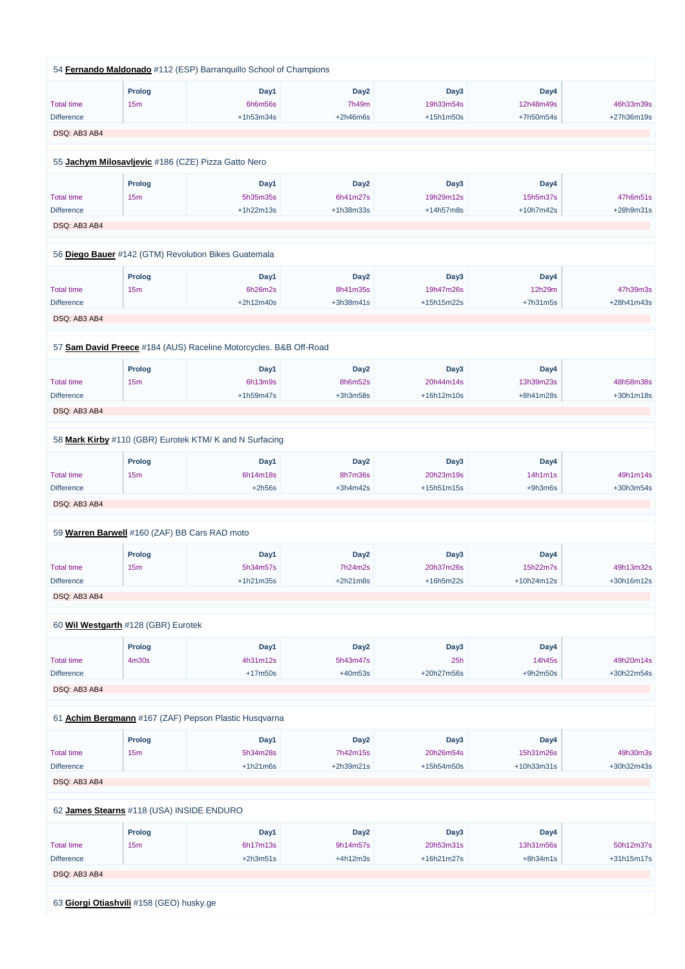|                   |                                               | 54 Fernando Maldonado #112 (ESP) Barranquillo School of Champions |                  |             |            |             |
|-------------------|-----------------------------------------------|-------------------------------------------------------------------|------------------|-------------|------------|-------------|
|                   | <b>Prolog</b>                                 | Day1                                                              | Day <sub>2</sub> | Day3        | Day4       |             |
| <b>Total time</b> | 15m                                           | 6h6m56s                                                           | 7h49m            | 19h33m54s   | 12h48m49s  | 46h33m39s   |
| <b>Difference</b> |                                               | $+1h53m34s$                                                       | $+2h46m6s$       | $+15h1m50s$ | +7h50m54s  | +27h36m19s  |
| DSQ: AB3 AB4      |                                               |                                                                   |                  |             |            |             |
|                   |                                               |                                                                   |                  |             |            |             |
|                   |                                               | 55 Jachym Milosavljevic #186 (CZE) Pizza Gatto Nero               |                  |             |            |             |
|                   | <b>Prolog</b>                                 | Day1                                                              | Day <sub>2</sub> | Day3        | Day4       |             |
| <b>Total time</b> | 15m                                           | 5h35m35s                                                          | 6h41m27s         | 19h29m12s   | 15h5m37s   | 47h6m51s    |
| <b>Difference</b> |                                               | $+1h22m13s$                                                       | +1h38m33s        | +14h57m8s   | +10h7m42s  | +28h9m31s   |
| DSQ: AB3 AB4      |                                               |                                                                   |                  |             |            |             |
|                   |                                               |                                                                   |                  |             |            |             |
|                   |                                               | 56 Diego Bauer #142 (GTM) Revolution Bikes Guatemala              |                  |             |            |             |
|                   | <b>Prolog</b>                                 | Day1                                                              | Day <sub>2</sub> | Day3        | Day4       |             |
| <b>Total time</b> | 15m                                           | 6h26m2s                                                           | 8h41m35s         | 19h47m26s   | 12h29m     | 47h39m3s    |
| <b>Difference</b> |                                               | $+2h12m40s$                                                       | +3h38m41s        | +15h15m22s  | $+7h31m5s$ | +28h41m43s  |
| DSQ: AB3 AB4      |                                               |                                                                   |                  |             |            |             |
|                   |                                               |                                                                   |                  |             |            |             |
|                   |                                               | 57 Sam David Preece #184 (AUS) Raceline Motorcycles. B&B Off-Road |                  |             |            |             |
|                   | <b>Prolog</b>                                 | Day1                                                              | Day <sub>2</sub> | Day3        | Day4       |             |
| <b>Total time</b> | 15m                                           | 6h13m9s                                                           | 8h6m52s          | 20h44m14s   | 13h39m23s  | 48h58m38s   |
| <b>Difference</b> |                                               | $+1h59m47s$                                                       | $+3h3m58s$       | +16h12m10s  | +8h41m28s  | $+30h1m18s$ |
| DSQ: AB3 AB4      |                                               |                                                                   |                  |             |            |             |
|                   |                                               |                                                                   |                  |             |            |             |
|                   |                                               | 58 Mark Kirby #110 (GBR) Eurotek KTM/ K and N Surfacing           |                  |             |            |             |
|                   | <b>Prolog</b>                                 | Day1                                                              | Day <sub>2</sub> | Day3        | Day4       |             |
| <b>Total time</b> | 15m                                           | 6h14m18s                                                          | 8h7m36s          | 20h23m19s   | 14h1m1s    | 49h1m14s    |
| <b>Difference</b> |                                               | $+2h56s$                                                          | $+3h4m42s$       | +15h51m15s  | +9h3m6s    | +30h3m54s   |
| DSQ: AB3 AB4      |                                               |                                                                   |                  |             |            |             |
|                   | 59 Warren Barwell #160 (ZAF) BB Cars RAD moto |                                                                   |                  |             |            |             |
|                   |                                               |                                                                   |                  |             |            |             |
|                   | <b>Prolog</b>                                 | Day1                                                              | Day <sub>2</sub> | Day3        | Day4       |             |
| <b>Total time</b> | 15m                                           | 5h34m57s                                                          | 7h24m2s          | 20h37m26s   | 15h22m7s   | 49h13m32s   |
| <b>Difference</b> |                                               | $+1h21m35s$                                                       | $+2h21m8s$       | +16h5m22s   | +10h24m12s | +30h16m12s  |
| DSQ: AB3 AB4      |                                               |                                                                   |                  |             |            |             |
|                   | 60 Wil Westgarth #128 (GBR) Eurotek           |                                                                   |                  |             |            |             |
|                   |                                               |                                                                   |                  |             |            |             |
|                   | <b>Prolog</b>                                 | Day1                                                              | Day <sub>2</sub> | Day3        | Day4       |             |
| <b>Total time</b> | 4m30s                                         | 4h31m12s                                                          | 5h43m47s         | 25h         | 14h45s     | 49h20m14s   |
| <b>Difference</b> |                                               | $+17m50s$                                                         | $+40m53s$        | +20h27m56s  | $+9h2m50s$ | +30h22m54s  |
| DSQ: AB3 AB4      |                                               |                                                                   |                  |             |            |             |
|                   |                                               |                                                                   |                  |             |            |             |

61 **[Achim Bergmann](https://www.redbullromaniacs.com/for-competitors/profile/?e=rbr2019&b=167)** #167 (ZAF) Pepson Plastic Husqvarna

|                                           | Prolog | Day1       | Day <sub>2</sub> | Day3         | Day4         |              |  |  |
|-------------------------------------------|--------|------------|------------------|--------------|--------------|--------------|--|--|
| <b>Total time</b>                         | 15m    | 5h34m28s   | 7h42m15s         | 20h26m54s    | 15h31m26s    | 49h30m3s     |  |  |
| <b>Difference</b>                         |        | $+1h21m6s$ | $+2h39m21s$      | +15h54m50s   | $+10h33m31s$ | +30h32m43s   |  |  |
| DSQ: AB3 AB4                              |        |            |                  |              |              |              |  |  |
|                                           |        |            |                  |              |              |              |  |  |
| 62 James Stearns #118 (USA) INSIDE ENDURO |        |            |                  |              |              |              |  |  |
|                                           | Prolog | Day1       | Day <sub>2</sub> | Day3         | Day4         |              |  |  |
| <b>Total time</b>                         | 15m    | 6h17m13s   | 9h14m57s         | 20h53m31s    | 13h31m56s    | 50h12m37s    |  |  |
| <b>Difference</b>                         |        | $+2h3m51s$ | $+4h12m3s$       | $+16h21m27s$ | $+8h34m1s$   | $+31h15m17s$ |  |  |
| DSQ: AB3 AB4                              |        |            |                  |              |              |              |  |  |
|                                           |        |            |                  |              |              |              |  |  |
| 63 Giorgi Otiashvili #158 (GEO) husky.ge  |        |            |                  |              |              |              |  |  |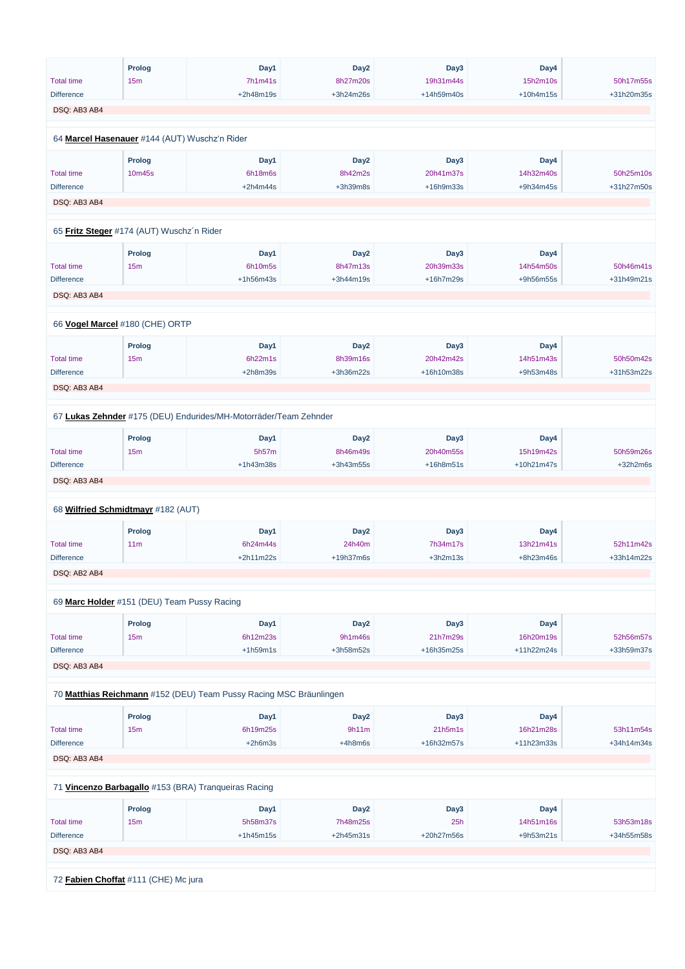|                                               | <b>Prolog</b>   | Day1                                                               | Day <sub>2</sub> | Day3       | Day4       |            |
|-----------------------------------------------|-----------------|--------------------------------------------------------------------|------------------|------------|------------|------------|
| <b>Total time</b>                             | 15m             | 7h1m41s                                                            | 8h27m20s         | 19h31m44s  | 15h2m10s   | 50h17m55s  |
| <b>Difference</b>                             |                 | +2h48m19s                                                          | +3h24m26s        | +14h59m40s | +10h4m15s  | +31h20m35s |
| DSQ: AB3 AB4                                  |                 |                                                                    |                  |            |            |            |
|                                               |                 |                                                                    |                  |            |            |            |
| 64 Marcel Hasenauer #144 (AUT) Wuschz'n Rider |                 |                                                                    |                  |            |            |            |
|                                               | <b>Prolog</b>   | Day1                                                               | Day <sub>2</sub> | Day3       | Day4       |            |
| <b>Total time</b>                             | 10m45s          | 6h18m6s                                                            | 8h42m2s          | 20h41m37s  | 14h32m40s  | 50h25m10s  |
| <b>Difference</b>                             |                 | $+2h4m44s$                                                         | $+3h39m8s$       | +16h9m33s  | +9h34m45s  | +31h27m50s |
| DSQ: AB3 AB4                                  |                 |                                                                    |                  |            |            |            |
|                                               |                 |                                                                    |                  |            |            |            |
| 65 Fritz Steger #174 (AUT) Wuschz'n Rider     |                 |                                                                    |                  |            |            |            |
|                                               | <b>Prolog</b>   | Day1                                                               | Day <sub>2</sub> | Day3       | Day4       |            |
| <b>Total time</b>                             | 15m             | 6h10m5s                                                            | 8h47m13s         | 20h39m33s  | 14h54m50s  | 50h46m41s  |
| <b>Difference</b>                             |                 | +1h56m43s                                                          | +3h44m19s        | +16h7m29s  | +9h56m55s  | +31h49m21s |
| DSQ: AB3 AB4                                  |                 |                                                                    |                  |            |            |            |
|                                               |                 |                                                                    |                  |            |            |            |
| 66 Vogel Marcel #180 (CHE) ORTP               |                 |                                                                    |                  |            |            |            |
|                                               | <b>Prolog</b>   | Day1                                                               | Day <sub>2</sub> | Day3       | Day4       |            |
| <b>Total time</b>                             | 15m             | 6h22m1s                                                            | 8h39m16s         | 20h42m42s  | 14h51m43s  | 50h50m42s  |
| <b>Difference</b>                             |                 | $+2h8m39s$                                                         | +3h36m22s        | +16h10m38s | +9h53m48s  | +31h53m22s |
| DSQ: AB3 AB4                                  |                 |                                                                    |                  |            |            |            |
|                                               |                 |                                                                    |                  |            |            |            |
|                                               |                 | 67 Lukas Zehnder #175 (DEU) Endurides/MH-Motorräder/Team Zehnder   |                  |            |            |            |
|                                               | <b>Prolog</b>   | Day1                                                               | Day <sub>2</sub> | Day3       | Day4       |            |
| <b>Total time</b>                             | 15m             | 5h57m                                                              | 8h46m49s         | 20h40m55s  | 15h19m42s  | 50h59m26s  |
| <b>Difference</b>                             |                 | $+1h43m38s$                                                        | +3h43m55s        | +16h8m51s  | +10h21m47s | $+32h2m6s$ |
| DSQ: AB3 AB4                                  |                 |                                                                    |                  |            |            |            |
|                                               |                 |                                                                    |                  |            |            |            |
| 68 Wilfried Schmidtmayr #182 (AUT)            |                 |                                                                    |                  |            |            |            |
|                                               | <b>Prolog</b>   | Day1                                                               | Day <sub>2</sub> | Day3       | Day4       |            |
| <b>Total time</b>                             | 11 <sub>m</sub> | 6h24m44s                                                           | 24h40m           | 7h34m17s   | 13h21m41s  | 52h11m42s  |
| <b>Difference</b>                             |                 | $+2h11m22s$                                                        | +19h37m6s        | $+3h2m13s$ | +8h23m46s  | +33h14m22s |
| DSQ: AB2 AB4                                  |                 |                                                                    |                  |            |            |            |
|                                               |                 |                                                                    |                  |            |            |            |
| 69 Marc Holder #151 (DEU) Team Pussy Racing   |                 |                                                                    |                  |            |            |            |
|                                               | <b>Prolog</b>   | Day1                                                               | Day <sub>2</sub> | Day3       | Day4       |            |
| <b>Total time</b>                             | 15m             | 6h12m23s                                                           | 9h1m46s          | 21h7m29s   | 16h20m19s  | 52h56m57s  |
| <b>Difference</b>                             |                 | $+1h59m1s$                                                         | +3h58m52s        | +16h35m25s | +11h22m24s | +33h59m37s |
| DSQ: AB3 AB4                                  |                 |                                                                    |                  |            |            |            |
|                                               |                 |                                                                    |                  |            |            |            |
|                                               |                 | 70 Matthias Reichmann #152 (DEU) Team Pussy Racing MSC Bräunlingen |                  |            |            |            |
|                                               | <b>Prolog</b>   | Day1                                                               | Day <sub>2</sub> | Day3       | Day4       |            |

| <b>Total time</b>                                    | 15 <sub>m</sub> | 6h19m25s    | 9h11m            | 21h5m1s      | 16h21m28s    | 53h11m54s    |  |  |  |  |
|------------------------------------------------------|-----------------|-------------|------------------|--------------|--------------|--------------|--|--|--|--|
| <b>Difference</b>                                    |                 | $+2h6m3s$   | $+4h8m6s$        | $+16h32m57s$ | $+11h23m33s$ | $+34h14m34s$ |  |  |  |  |
| DSQ: AB3 AB4                                         |                 |             |                  |              |              |              |  |  |  |  |
| 71 Vincenzo Barbagallo #153 (BRA) Tranqueiras Racing |                 |             |                  |              |              |              |  |  |  |  |
|                                                      | <b>Prolog</b>   | Day1        | Day <sub>2</sub> | Day3         | Day4         |              |  |  |  |  |
| <b>Total time</b>                                    | 15 <sub>m</sub> | 5h58m37s    | 7h48m25s         | 25h          | 14h51m16s    | 53h53m18s    |  |  |  |  |
| <b>Difference</b>                                    |                 | $+1h45m15s$ | $+2h45m31s$      | $+20h27m56s$ | $+9h53m21s$  | +34h55m58s   |  |  |  |  |
| DSQ: AB3 AB4                                         |                 |             |                  |              |              |              |  |  |  |  |
|                                                      |                 |             |                  |              |              |              |  |  |  |  |
| 72 Fabien Choffat #111 (CHE) Mc jura                 |                 |             |                  |              |              |              |  |  |  |  |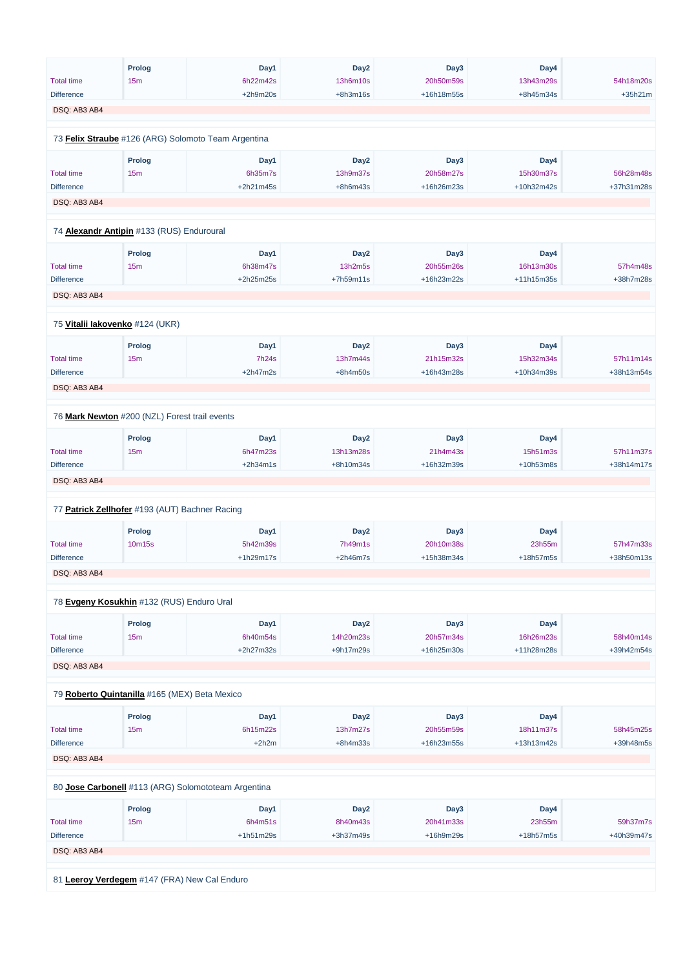|                   | <b>Prolog</b>                                  | Day1                                                | Day <sub>2</sub> | Day <sub>3</sub> | Day4       |            |
|-------------------|------------------------------------------------|-----------------------------------------------------|------------------|------------------|------------|------------|
| <b>Total time</b> | 15m                                            | 6h22m42s                                            | 13h6m10s         | 20h50m59s        | 13h43m29s  | 54h18m20s  |
| <b>Difference</b> |                                                | $+2h9m20s$                                          | $+8h3m16s$       | +16h18m55s       | +8h45m34s  | $+35h21m$  |
| DSQ: AB3 AB4      |                                                |                                                     |                  |                  |            |            |
|                   |                                                |                                                     |                  |                  |            |            |
|                   |                                                | 73 Felix Straube #126 (ARG) Solomoto Team Argentina |                  |                  |            |            |
|                   | <b>Prolog</b>                                  | Day1                                                | Day <sub>2</sub> | Day3             | Day4       |            |
| <b>Total time</b> | 15m                                            | 6h35m7s                                             | 13h9m37s         | 20h58m27s        | 15h30m37s  | 56h28m48s  |
| <b>Difference</b> |                                                | +2h21m45s                                           | $+8h6m43s$       | +16h26m23s       | +10h32m42s | +37h31m28s |
| DSQ: AB3 AB4      |                                                |                                                     |                  |                  |            |            |
|                   | 74 Alexandr Antipin #133 (RUS) Enduroural      |                                                     |                  |                  |            |            |
|                   |                                                |                                                     |                  |                  |            |            |
|                   | <b>Prolog</b>                                  | Day1                                                | Day <sub>2</sub> | Day3             | Day4       |            |
| <b>Total time</b> | 15m                                            | 6h38m47s                                            | 13h2m5s          | 20h55m26s        | 16h13m30s  | 57h4m48s   |
| <b>Difference</b> |                                                | +2h25m25s                                           | +7h59m11s        | +16h23m22s       | +11h15m35s | +38h7m28s  |
| DSQ: AB3 AB4      |                                                |                                                     |                  |                  |            |            |
|                   |                                                |                                                     |                  |                  |            |            |
|                   | 75 Vitalii lakovenko #124 (UKR)                |                                                     |                  |                  |            |            |
|                   | <b>Prolog</b>                                  | Day1                                                | Day <sub>2</sub> | Day3             | Day4       |            |
| <b>Total time</b> | 15m                                            | 7h24s                                               | 13h7m44s         | 21h15m32s        | 15h32m34s  | 57h11m14s  |
| <b>Difference</b> |                                                | $+2h47m2s$                                          | $+8h4m50s$       | +16h43m28s       | +10h34m39s | +38h13m54s |
| DSQ: AB3 AB4      |                                                |                                                     |                  |                  |            |            |
|                   |                                                |                                                     |                  |                  |            |            |
|                   | 76 Mark Newton #200 (NZL) Forest trail events  |                                                     |                  |                  |            |            |
|                   | <b>Prolog</b>                                  | Day1                                                | Day <sub>2</sub> | Day3             | Day4       |            |
| <b>Total time</b> | 15m                                            | 6h47m23s                                            | 13h13m28s        | 21h4m43s         | 15h51m3s   | 57h11m37s  |
| <b>Difference</b> |                                                | $+2h34m1s$                                          | +8h10m34s        | +16h32m39s       | +10h53m8s  | +38h14m17s |
| DSQ: AB3 AB4      |                                                |                                                     |                  |                  |            |            |
|                   |                                                |                                                     |                  |                  |            |            |
|                   | 77 Patrick Zellhofer #193 (AUT) Bachner Racing |                                                     |                  |                  |            |            |
|                   | <b>Prolog</b>                                  | Day1                                                | Day <sub>2</sub> | Day3             | Day4       |            |
| <b>Total time</b> | 10m15s                                         | 5h42m39s                                            | 7h49m1s          | 20h10m38s        | 23h55m     | 57h47m33s  |
| <b>Difference</b> |                                                | +1h29m17s                                           | $+2h46m7s$       | +15h38m34s       | +18h57m5s  | +38h50m13s |
| DSQ: AB3 AB4      |                                                |                                                     |                  |                  |            |            |
|                   | 78 Evgeny Kosukhin #132 (RUS) Enduro Ural      |                                                     |                  |                  |            |            |
|                   |                                                |                                                     |                  |                  |            |            |
|                   | <b>Prolog</b>                                  | Day1                                                | Day <sub>2</sub> | Day3             | Day4       |            |
| <b>Total time</b> | 15m                                            | 6h40m54s                                            | 14h20m23s        | 20h57m34s        | 16h26m23s  | 58h40m14s  |
| <b>Difference</b> |                                                | +2h27m32s                                           | +9h17m29s        | +16h25m30s       | +11h28m28s | +39h42m54s |
| DSQ: AB3 AB4      |                                                |                                                     |                  |                  |            |            |
|                   |                                                |                                                     |                  |                  |            |            |
|                   | 79 Roberto Quintanilla #165 (MEX) Beta Mexico  |                                                     |                  |                  |            |            |
|                   | <b>Prolog</b>                                  | Day1                                                | Day <sub>2</sub> | Day3             | Day4       |            |

| <b>Total time</b>                            | 15 <sub>m</sub> | 6h15m22s                                            | 13h7m27s         | 20h55m59s    | 18h11m37s    | 58h45m25s  |  |  |  |  |
|----------------------------------------------|-----------------|-----------------------------------------------------|------------------|--------------|--------------|------------|--|--|--|--|
| <b>Difference</b>                            |                 | $+2h2m$                                             | $+8h4m33s$       | $+16h23m55s$ | $+13h13m42s$ | +39h48m5s  |  |  |  |  |
| DSQ: AB3 AB4                                 |                 |                                                     |                  |              |              |            |  |  |  |  |
|                                              |                 |                                                     |                  |              |              |            |  |  |  |  |
|                                              |                 | 80 Jose Carbonell #113 (ARG) Solomototeam Argentina |                  |              |              |            |  |  |  |  |
|                                              |                 |                                                     |                  |              |              |            |  |  |  |  |
|                                              | <b>Prolog</b>   | Day1                                                | Day <sub>2</sub> | Day3         | Day4         |            |  |  |  |  |
| <b>Total time</b>                            | 15m             | 6h4m51s                                             | 8h40m43s         | 20h41m33s    | 23h55m       | 59h37m7s   |  |  |  |  |
| <b>Difference</b>                            |                 | $+1h51m29s$                                         | $+3h37m49s$      | +16h9m29s    | $+18h57m5s$  | +40h39m47s |  |  |  |  |
| DSQ: AB3 AB4                                 |                 |                                                     |                  |              |              |            |  |  |  |  |
|                                              |                 |                                                     |                  |              |              |            |  |  |  |  |
|                                              |                 |                                                     |                  |              |              |            |  |  |  |  |
| 81 Leeroy Verdegem #147 (FRA) New Cal Enduro |                 |                                                     |                  |              |              |            |  |  |  |  |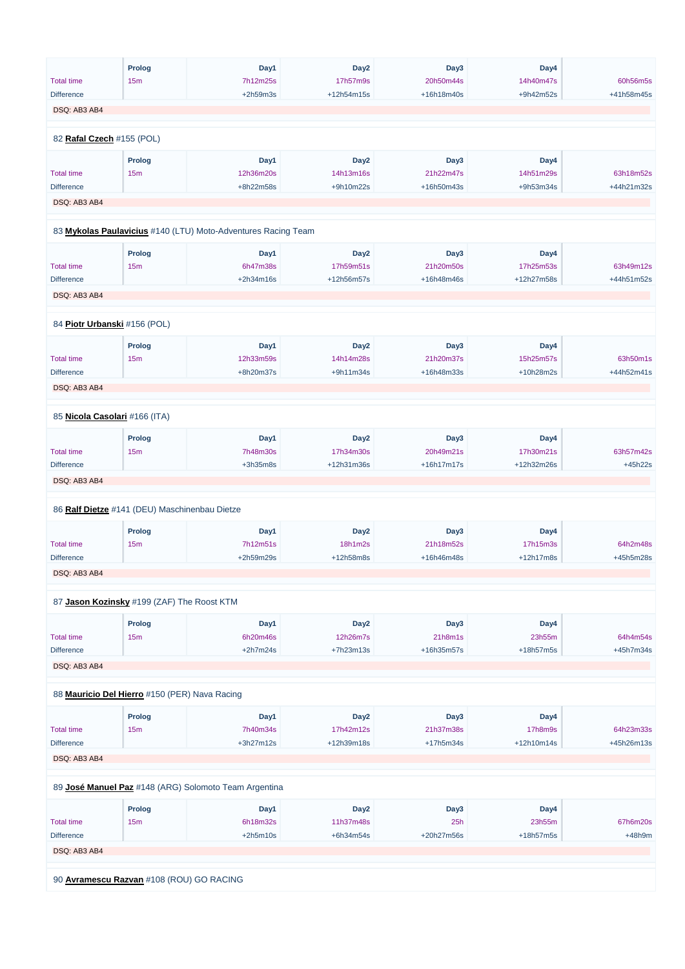|                                   | <b>Prolog</b>                                 | Day1                                                          | Day <sub>2</sub> | Day3       | Day4       |            |
|-----------------------------------|-----------------------------------------------|---------------------------------------------------------------|------------------|------------|------------|------------|
| <b>Total time</b>                 | 15m                                           | 7h12m25s                                                      | 17h57m9s         | 20h50m44s  | 14h40m47s  | 60h56m5s   |
| <b>Difference</b>                 |                                               | $+2h59m3s$                                                    | +12h54m15s       | +16h18m40s | +9h42m52s  | +41h58m45s |
| DSQ: AB3 AB4                      |                                               |                                                               |                  |            |            |            |
|                                   |                                               |                                                               |                  |            |            |            |
| 82 Rafal Czech #155 (POL)         |                                               |                                                               |                  |            |            |            |
|                                   | Prolog                                        | Day1                                                          | Day <sub>2</sub> | Day3       | Day4       |            |
| <b>Total time</b>                 | 15m                                           | 12h36m20s                                                     | 14h13m16s        | 21h22m47s  | 14h51m29s  | 63h18m52s  |
| <b>Difference</b>                 |                                               | +8h22m58s                                                     | +9h10m22s        | +16h50m43s | +9h53m34s  | +44h21m32s |
| DSQ: AB3 AB4                      |                                               |                                                               |                  |            |            |            |
|                                   |                                               |                                                               |                  |            |            |            |
|                                   |                                               | 83 Mykolas Paulavicius #140 (LTU) Moto-Adventures Racing Team |                  |            |            |            |
|                                   | <b>Prolog</b>                                 | Day1                                                          | Day <sub>2</sub> | Day3       | Day4       |            |
| <b>Total time</b>                 | 15m                                           | 6h47m38s                                                      | 17h59m51s        | 21h20m50s  | 17h25m53s  | 63h49m12s  |
| <b>Difference</b>                 |                                               | +2h34m16s                                                     | +12h56m57s       | +16h48m46s | +12h27m58s | +44h51m52s |
| DSQ: AB3 AB4                      |                                               |                                                               |                  |            |            |            |
|                                   |                                               |                                                               |                  |            |            |            |
|                                   | 84 Piotr Urbanski #156 (POL)                  |                                                               |                  |            |            |            |
|                                   | <b>Prolog</b>                                 | Day1                                                          | Day <sub>2</sub> | Day3       | Day4       |            |
| <b>Total time</b>                 | 15m                                           | 12h33m59s                                                     | 14h14m28s        | 21h20m37s  | 15h25m57s  | 63h50m1s   |
| <b>Difference</b>                 |                                               | +8h20m37s                                                     | +9h11m34s        | +16h48m33s | +10h28m2s  | +44h52m41s |
| DSQ: AB3 AB4                      |                                               |                                                               |                  |            |            |            |
|                                   |                                               |                                                               |                  |            |            |            |
|                                   | 85 Nicola Casolari #166 (ITA)                 |                                                               |                  |            |            |            |
|                                   | <b>Prolog</b>                                 | Day1                                                          | Day <sub>2</sub> | Day3       | Day4       |            |
| <b>Total time</b>                 | 15m                                           | 7h48m30s                                                      | 17h34m30s        | 20h49m21s  | 17h30m21s  | 63h57m42s  |
| <b>Difference</b>                 |                                               | $+3h35m8s$                                                    | +12h31m36s       | +16h17m17s | +12h32m26s | $+45h22s$  |
| DSQ: AB3 AB4                      |                                               |                                                               |                  |            |            |            |
|                                   | 86 Ralf Dietze #141 (DEU) Maschinenbau Dietze |                                                               |                  |            |            |            |
|                                   |                                               |                                                               |                  |            |            |            |
|                                   | <b>Prolog</b>                                 | Day1                                                          | Day <sub>2</sub> | Day3       | Day4       |            |
| <b>Total time</b>                 | 15m                                           | 7h12m51s                                                      | 18h1m2s          | 21h18m52s  | 17h15m3s   | 64h2m48s   |
| <b>Difference</b><br>DSQ: AB3 AB4 |                                               | +2h59m29s                                                     | +12h58m8s        | +16h46m48s | +12h17m8s  | +45h5m28s  |
|                                   |                                               |                                                               |                  |            |            |            |
|                                   | 87 Jason Kozinsky #199 (ZAF) The Roost KTM    |                                                               |                  |            |            |            |
|                                   | <b>Prolog</b>                                 | Day1                                                          | Day <sub>2</sub> | Day3       | Day4       |            |
| <b>Total time</b>                 | 15m                                           | 6h20m46s                                                      | 12h26m7s         | 21h8m1s    | 23h55m     | 64h4m54s   |
| <b>Difference</b>                 |                                               | $+2h7m24s$                                                    | +7h23m13s        | +16h35m57s | +18h57m5s  | +45h7m34s  |
| DSQ: AB3 AB4                      |                                               |                                                               |                  |            |            |            |
|                                   |                                               |                                                               |                  |            |            |            |
|                                   | 88 Mauricio Del Hierro #150 (PER) Nava Racing |                                                               |                  |            |            |            |
|                                   | <b>Prolog</b>                                 | Day1                                                          | Day <sub>2</sub> | Day3       | Day4       |            |
| <b>Total time</b>                 | 15 <sub>m</sub>                               | 7h40m34s                                                      | 17h42m12s        | 21h37m38s  | 17h8m9s    | 64h23m33s  |

| <b>Difference</b>                        |                                                       | $+3h27m12s$ | +12h39m18s       | $+17h5m34s$ | $+12h10m14s$ | +45h26m13s |  |  |  |
|------------------------------------------|-------------------------------------------------------|-------------|------------------|-------------|--------------|------------|--|--|--|
| DSQ: AB3 AB4                             |                                                       |             |                  |             |              |            |  |  |  |
|                                          |                                                       |             |                  |             |              |            |  |  |  |
|                                          | 89 José Manuel Paz #148 (ARG) Solomoto Team Argentina |             |                  |             |              |            |  |  |  |
|                                          |                                                       |             |                  |             |              |            |  |  |  |
|                                          | <b>Prolog</b>                                         | Day1        | Day <sub>2</sub> | Day3        | Day4         |            |  |  |  |
| <b>Total time</b>                        | 15 <sub>m</sub>                                       | 6h18m32s    | 11h37m48s        | 25h         | 23h55m       | 67h6m20s   |  |  |  |
| <b>Difference</b>                        |                                                       | $+2h5m10s$  | $+6h34m54s$      | +20h27m56s  | $+18h57m5s$  | $+48h9m$   |  |  |  |
| DSQ: AB3 AB4                             |                                                       |             |                  |             |              |            |  |  |  |
|                                          |                                                       |             |                  |             |              |            |  |  |  |
| 90 Avramescu Razvan #108 (ROU) GO RACING |                                                       |             |                  |             |              |            |  |  |  |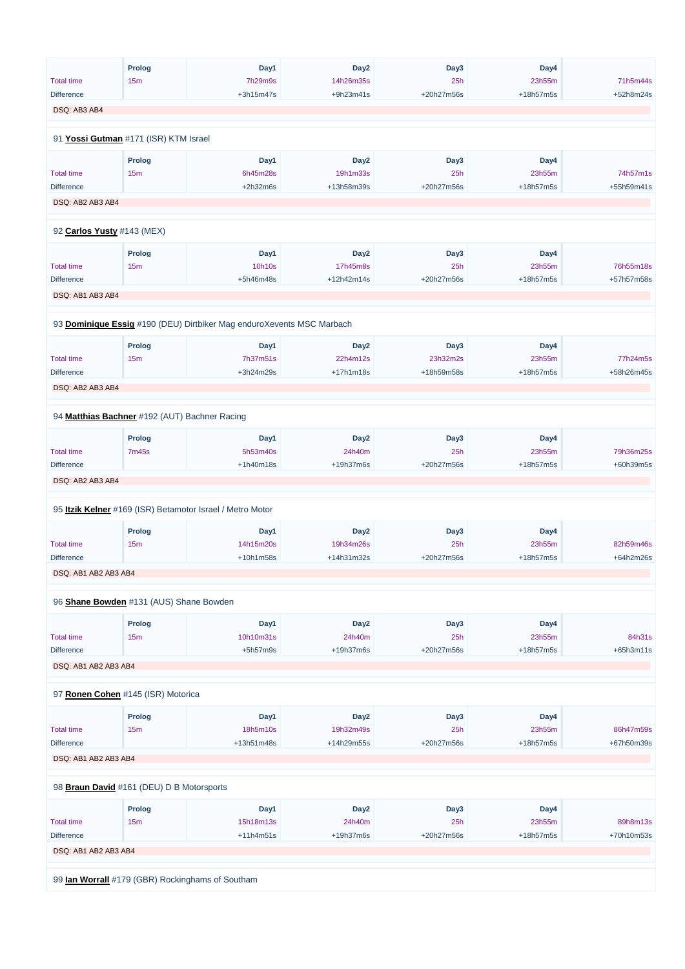|                                               | <b>Prolog</b> | Day1                                                                  | Day <sub>2</sub> | Day3       | Day4      |            |
|-----------------------------------------------|---------------|-----------------------------------------------------------------------|------------------|------------|-----------|------------|
| <b>Total time</b>                             | 15m           | 7h29m9s                                                               | 14h26m35s        | 25h        | 23h55m    | 71h5m44s   |
| <b>Difference</b>                             |               | $+3h15m47s$                                                           | +9h23m41s        | +20h27m56s | +18h57m5s | +52h8m24s  |
| DSQ: AB3 AB4                                  |               |                                                                       |                  |            |           |            |
|                                               |               |                                                                       |                  |            |           |            |
| 91 Yossi Gutman #171 (ISR) KTM Israel         |               |                                                                       |                  |            |           |            |
|                                               | Prolog        | Day1                                                                  | Day <sub>2</sub> | Day3       | Day4      |            |
| <b>Total time</b>                             | 15m           | 6h45m28s                                                              | 19h1m33s         | 25h        | 23h55m    | 74h57m1s   |
| <b>Difference</b>                             |               | $+2h32m6s$                                                            | +13h58m39s       | +20h27m56s | +18h57m5s | +55h59m41s |
| DSQ: AB2 AB3 AB4                              |               |                                                                       |                  |            |           |            |
| 92 Carlos Yusty #143 (MEX)                    |               |                                                                       |                  |            |           |            |
|                                               |               |                                                                       |                  |            |           |            |
|                                               | <b>Prolog</b> | Day1                                                                  | Day <sub>2</sub> | Day3       | Day4      |            |
| <b>Total time</b>                             | 15m           | 10h10s                                                                | 17h45m8s         | 25h        | 23h55m    | 76h55m18s  |
| <b>Difference</b>                             |               | +5h46m48s                                                             | +12h42m14s       | +20h27m56s | +18h57m5s | +57h57m58s |
| DSQ: AB1 AB3 AB4                              |               |                                                                       |                  |            |           |            |
|                                               |               |                                                                       |                  |            |           |            |
|                                               |               | 93 Dominique Essig #190 (DEU) Dirtbiker Mag enduroXevents MSC Marbach |                  |            |           |            |
|                                               | <b>Prolog</b> | Day1                                                                  | Day <sub>2</sub> | Day3       | Day4      |            |
| <b>Total time</b>                             | 15m           | 7h37m51s                                                              | 22h4m12s         | 23h32m2s   | 23h55m    | 77h24m5s   |
| <b>Difference</b>                             |               | +3h24m29s                                                             | $+17h1m18s$      | +18h59m58s | +18h57m5s | +58h26m45s |
| DSQ: AB2 AB3 AB4                              |               |                                                                       |                  |            |           |            |
|                                               |               |                                                                       |                  |            |           |            |
| 94 Matthias Bachner #192 (AUT) Bachner Racing |               |                                                                       |                  |            |           |            |
|                                               | <b>Prolog</b> | Day1                                                                  | Day <sub>2</sub> | Day3       | Day4      |            |
| <b>Total time</b>                             | 7m45s         | 5h53m40s                                                              | 24h40m           | 25h        | 23h55m    | 79h36m25s  |
| <b>Difference</b>                             |               | $+1h40m18s$                                                           | +19h37m6s        | +20h27m56s | +18h57m5s | +60h39m5s  |
| DSQ: AB2 AB3 AB4                              |               |                                                                       |                  |            |           |            |
|                                               |               |                                                                       |                  |            |           |            |
|                                               |               | 95 Itzik Kelner #169 (ISR) Betamotor Israel / Metro Motor             |                  |            |           |            |
|                                               | <b>Prolog</b> | Day1                                                                  | Day <sub>2</sub> | Day3       | Day4      |            |
| <b>Total time</b>                             | 15m           | 14h15m20s                                                             | 19h34m26s        | 25h        | 23h55m    | 82h59m46s  |
| <b>Difference</b>                             |               | $+10h1m58s$                                                           | +14h31m32s       | +20h27m56s | +18h57m5s | +64h2m26s  |
| DSQ: AB1 AB2 AB3 AB4                          |               |                                                                       |                  |            |           |            |
| 96 Shane Bowden #131 (AUS) Shane Bowden       |               |                                                                       |                  |            |           |            |
|                                               |               |                                                                       |                  |            |           |            |
|                                               | <b>Prolog</b> | Day1                                                                  | Day <sub>2</sub> | Day3       | Day4      |            |
| <b>Total time</b>                             | 15m           | 10h10m31s                                                             | 24h40m           | 25h        | 23h55m    | 84h31s     |
| <b>Difference</b>                             |               | $+5h57m9s$                                                            | +19h37m6s        | +20h27m56s | +18h57m5s | +65h3m11s  |
| DSQ: AB1 AB2 AB3 AB4                          |               |                                                                       |                  |            |           |            |
|                                               |               |                                                                       |                  |            |           |            |
| 97 Ronen Cohen #145 (ISR) Motorica            |               |                                                                       |                  |            |           |            |
|                                               | <b>Prolog</b> | Day1                                                                  | Day <sub>2</sub> | Day3       | Day4      |            |

| <b>Total time</b>                                | 15m             | 18h5m10s     | 19h32m49s        | 25h        | 23h55m      | 86h47m59s  |  |  |  |  |
|--------------------------------------------------|-----------------|--------------|------------------|------------|-------------|------------|--|--|--|--|
| <b>Difference</b>                                |                 | $+13h51m48s$ | +14h29m55s       | +20h27m56s | $+18h57m5s$ | +67h50m39s |  |  |  |  |
| DSQ: AB1 AB2 AB3 AB4                             |                 |              |                  |            |             |            |  |  |  |  |
|                                                  |                 |              |                  |            |             |            |  |  |  |  |
| 98 Braun David #161 (DEU) D B Motorsports        |                 |              |                  |            |             |            |  |  |  |  |
|                                                  | <b>Prolog</b>   | Day1         | Day <sub>2</sub> | Day3       | Day4        |            |  |  |  |  |
| <b>Total time</b>                                | 15 <sub>m</sub> | 15h18m13s    | 24h40m           | 25h        | 23h55m      | 89h8m13s   |  |  |  |  |
| <b>Difference</b>                                |                 | $+11h4m51s$  | $+19h37m6s$      | +20h27m56s | $+18h57m5s$ | +70h10m53s |  |  |  |  |
| DSQ: AB1 AB2 AB3 AB4                             |                 |              |                  |            |             |            |  |  |  |  |
|                                                  |                 |              |                  |            |             |            |  |  |  |  |
| 99 lan Worrall #179 (GBR) Rockinghams of Southam |                 |              |                  |            |             |            |  |  |  |  |